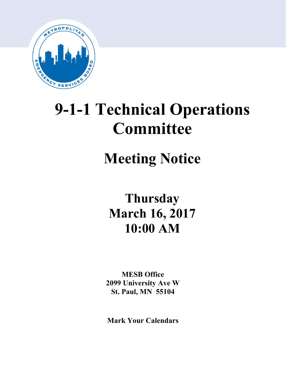

# **9-1-1 Technical Operations Committee**

# **Meeting Notice**

# **Thursday March 16, 2017 10:00 AM**

**MESB Office 2099 University Ave W St. Paul, MN 55104**

**Mark Your Calendars**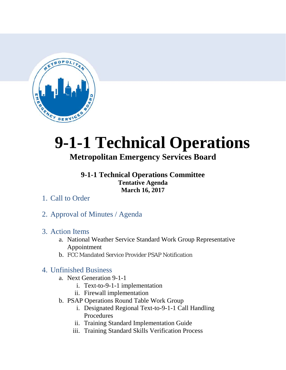

# **9-1-1 Technical Operations**

## **Metropolitan Emergency Services Board**

#### **9-1-1 Technical Operations Committee Tentative Agenda March 16, 2017**

- 1. Call to Order
- 2. Approval of Minutes / Agenda

#### 3. Action Items

- a. National Weather Service Standard Work Group Representative Appointment
- b. FCC Mandated Service Provider PSAP Notification

### 4. Unfinished Business

- a. Next Generation 9-1-1
	- i. Text-to-9-1-1 implementation
	- ii. Firewall implementation
- b. PSAP Operations Round Table Work Group
	- i. Designated Regional Text-to-9-1-1 Call Handling Procedures
	- ii. Training Standard Implementation Guide
	- iii. Training Standard Skills Verification Process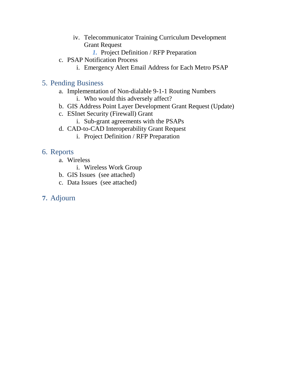- iv. Telecommunicator Training Curriculum Development Grant Request
	- *1.* Project Definition / RFP Preparation
- c. PSAP Notification Process
	- i. Emergency Alert Email Address for Each Metro PSAP

#### 5. Pending Business

- a. Implementation of Non-dialable 9-1-1 Routing Numbers i. Who would this adversely affect?
- b. GIS Address Point Layer Development Grant Request (Update)
- c. ESInet Security (Firewall) Grant
	- i. Sub-grant agreements with the PSAPs
- d. CAD-to-CAD Interoperability Grant Request
	- i. Project Definition / RFP Preparation

#### 6. Reports

- a. Wireless
	- i. Wireless Work Group
- b. GIS Issues (see attached)
- c. Data Issues (see attached)
- **7.** Adjourn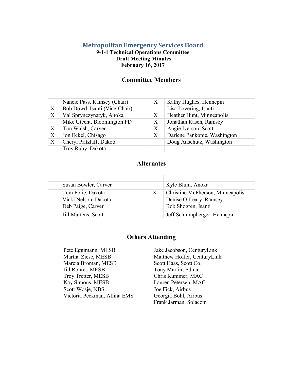#### **Metropolitan Emergency Services Board**

#### **9-1-1 Technical Operations Committee Draft Meeting Minutes February 16, 2017**

#### **Committee Members**

|   | Nancie Pass, Ramsey (Chair)   | X | Kathy Hughes, Hennepin       |
|---|-------------------------------|---|------------------------------|
| X | Bob Dowd, Isanti (Vice-Chair) |   | Lisa Lovering, Isanti        |
| X | Val Sprynczynatyk, Anoka      | X | Heather Hunt, Minneapolis    |
|   | Mike Utecht, Bloomington PD   | X | Jonathan Rasch, Ramsey       |
| X | Tim Walsh, Carver             | Χ | Angie Iverson, Scott         |
| X | Jon Eckel, Chisago            | X | Darlene Pankonie, Washington |
| X | Cheryl Pritzlaff, Dakota      |   | Doug Anschutz, Washington    |
|   | Troy Ruby, Dakota             |   |                              |

#### **Alternates**

| Susan Bowler, Carver |   | Kyle Blum, Anoka                 |
|----------------------|---|----------------------------------|
| Tom Folie, Dakota    | X | Christine McPherson, Minneapolis |
| Vicki Nelson, Dakota |   | Denise O'Leary, Ramsey           |
| Deb Paige, Carver    |   | Bob Shogren, Isanti              |
| Jill Martens, Scott  |   | Jeff Schlumpberger, Hennepin     |

#### **Others Attending**

Pete Eggimann, MESB Jake Jacobson, CenturyLink Martha Ziese, MESB Matthew Hoffer, CenturyLink Marcia Broman, MESB Jill Rohret, MESB Troy Tretter, MESB Kay Simons, MESB Lauren Petersen, MAC Scott Wosje, NBS Joe Fick, Airbus Victoria Peckman, Allina EMS Georgia Bohl, Airbus

Scott Haas, Scott Co. Tony Martin, Edina Chris Kummer, MAC Frank Jarman, Solacom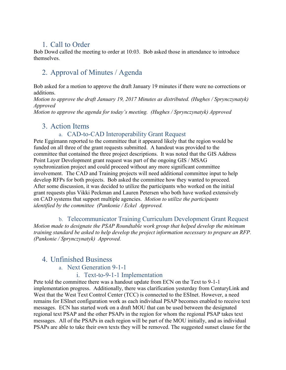## 1. Call to Order

Bob Dowd called the meeting to order at 10:03. Bob asked those in attendance to introduce themselves.

## 2. Approval of Minutes / Agenda

Bob asked for a motion to approve the draft January 19 minutes if there were no corrections or additions.

*Motion to approve the draft January 19, 2017 Minutes as distributed. (Hughes / Sprynczynatyk) Approved*

*Motion to approve the agenda for today's meeting. (Hughes / Sprynczynatyk) Approved*

#### 3. Action Items

#### a. CAD-to-CAD Interoperability Grant Request

Pete Eggimann reported to the committee that it appeared likely that the region would be funded on all three of the grant requests submitted. A handout was provided to the committee that contained the three project descriptions. It was noted that the GIS Address Point Layer Development grant request was part of the ongoing GIS / MSAG synchronization project and could proceed without any more significant committee involvement. The CAD and Training projects will need additional committee input to help develop RFPs for both projects. Bob asked the committee how they wanted to proceed. After some discussion, it was decided to utilize the participants who worked on the initial grant requests plus Vikki Peckman and Lauren Petersen who both have worked extensively on CAD systems that support multiple agencies. *Motion to utilize the participants identified by the committee (Pankonie / Eckel Approved.*

b. Telecommunicator Training Curriculum Development Grant Request *Motion made to designate the PSAP Roundtable work group that helped develop the minimum training standard be asked to help develop the project information necessary to prepare an RFP. (Pankonie / Sprynczynatyk) Approved.*

#### 4. Unfinished Business

#### a. Next Generation 9-1-1

#### i. Text-to-9-1-1 Implementation

Pete told the committee there was a handout update from ECN on the Text to 9-1-1 implementation progress. Additionally, there was clarification yesterday from CenturyLink and West that the West Text Control Center (TCC) is connected to the ESInet. However, a need remains for ESInet configuration work as each individual PSAP becomes enabled to receive text messages. ECN has started work on a draft MOU that can be used between the designated regional text PSAP and the other PSAPs in the region for whom the regional PSAP takes text messages. All of the PSAPs in each region will be part of the MOU initially, and as individual PSAPs are able to take their own texts they will be removed. The suggested sunset clause for the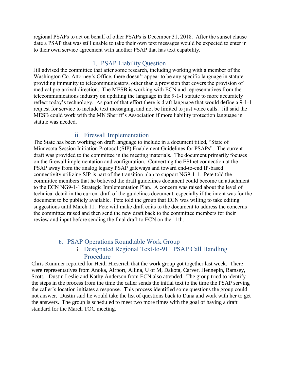regional PSAPs to act on behalf of other PSAPs is December 31, 2018. After the sunset clause date a PSAP that was still unable to take their own text messages would be expected to enter in to their own service agreement with another PSAP that has text capability.

#### 1. PSAP Liability Question

Jill advised the committee that after some research, including working with a member of the Washington Co. Attorney's Office, there doesn't appear to be any specific language in statute providing immunity to telecommunicators, other than a provision that covers the provision of medical pre-arrival direction. The MESB is working with ECN and representatives from the telecommunications industry on updating the language in the 9-1-1 statute to more accurately reflect today's technology. As part of that effort there is draft language that would define a 9-1-1 request for service to include text messaging, and not be limited to just voice calls. Jill said the MESB could work with the MN Sheriff's Association if more liability protection language in statute was needed.

#### ii. Firewall Implementation

The State has been working on draft language to include in a document titled, "State of Minnesota Session Initiation Protocol (SIP) Enablement Guidelines for PSAPs". The current draft was provided to the committee in the meeting materials. The document primarily focuses on the firewall implementation and configuration. Converting the ESInet connection at the PSAP away from the analog legacy PSAP gateways and toward end-to-end IP-based connectivity utilizing SIP is part of the transition plan to support NG9-1-1. Pete told the committee members that he believed the draft guidelines document could become an attachment to the ECN NG9-1-1 Strategic Implementation Plan. A concern was raised about the level of technical detail in the current draft of the guidelines document, especially if the intent was for the document to be publicly available. Pete told the group that ECN was willing to take editing suggestions until March 11. Pete will make draft edits to the document to address the concerns the committee raised and then send the new draft back to the committee members for their review and input before sending the final draft to ECN on the 11th.

#### b. PSAP Operations Roundtable Work Group

#### i. Designated Regional Text-to-911 PSAP Call Handling Procedure

Chris Kummer reported for Heidi Hieserich that the work group got together last week. There were representatives from Anoka, Airport, Allina, U of M, Dakota, Carver, Hennepin, Ramsey, Scott. Dustin Leslie and Kathy Anderson from ECN also attended. The group tried to identify the steps in the process from the time the caller sends the initial text to the time the PSAP serving the caller's location initiates a response. This process identified some questions the group could not answer. Dustin said he would take the list of questions back to Dana and work with her to get the answers. The group is scheduled to meet two more times with the goal of having a draft standard for the March TOC meeting.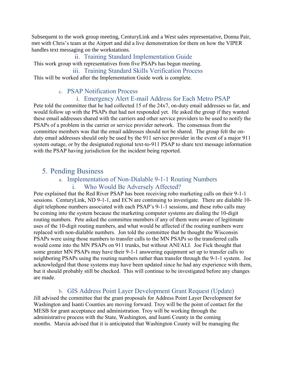Subsequent to the work group meeting, CenturyLink and a West sales representative, Donna Pair, met with Chris's team at the Airport and did a live demonstration for them on how the VIPER handles text messaging on the workstations.

ii. Training Standard Implementation Guide This work group with representatives from five PSAPs has begun meeting.

#### iii. Training Standard Skills Verification Process

This will be worked after the Implementation Guide work is complete.

#### c. PSAP Notification Process

#### i. Emergency Alert E-mail Address for Each Metro PSAP

Pete told the committee that he had collected 15 of the 24x7, on-duty email addresses so far, and would follow up with the PSAPs that had not responded yet. He asked the group if they wanted these email addresses shared with the carriers and other service providers to be used to notify the PSAPs of a problem in the carrier or service provider network. The consensus from the committee members was that the email addresses should not be shared. The group felt the onduty email addresses should only be used by the 911 service provider in the event of a major 911 system outage, or by the designated regional text-to-911 PSAP to share text message information with the PSAP having jurisdiction for the incident being reported.

#### 5. Pending Business

#### a. Implementation of Non-Dialable 9-1-1 Routing Numbers i. Who Would Be Adversely Affected?

Pete explained that the Red River PSAP has been receiving robo marketing calls on their 9-1-1 sessions. CenturyLink, ND 9-1-1, and ECN are continuing to investigate. There are dialable 10 digit telephone numbers associated with each PSAP's 9-1-1 sessions, and these robo calls may be coming into the system because the marketing computer systems are dialing the 10-digit routing numbers. Pete asked the committee members if any of them were aware of legitimate uses of the 10-digit routing numbers, and what would be affected if the routing numbers were replaced with non-dialable numbers. Jon told the committee that he thought the Wisconsin PSAPs were using those numbers to transfer calls to the MN PSAPs so the transferred calls would come into the MN PSAPs on 911 trunks, but without ANI/ALI. Joe Fick thought that some greater MN PSAPs may have their 9-1-1 answering equipment set up to transfer calls to neighboring PSAPs using the routing numbers rather than transfer through the 9-1-1 system. Joe acknowledged that those systems may have been updated since he had any experience with them, but it should probably still be checked. This will continue to be investigated before any changes are made.

#### b. GIS Address Point Layer Development Grant Request (Update)

Jill advised the committee that the grant proposals for Address Point Layer Development for Washington and Isanti Counties are moving forward. Troy will be the point of contact for the MESB for grant acceptance and administration. Troy will be working through the administrative process with the State, Washington, and Isanti County in the coming months. Marcia advised that it is anticipated that Washington County will be managing the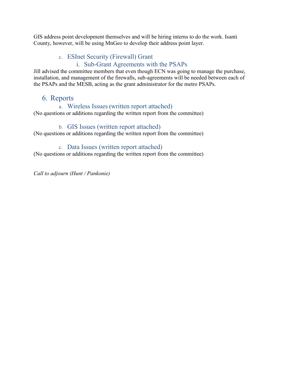GIS address point development themselves and will be hiring interns to do the work. Isanti County, however, will be using MnGeo to develop their address point layer.

#### c. ESInet Security (Firewall) Grant

#### i. Sub-Grant Agreements with the PSAPs

Jill advised the committee members that even though ECN was going to manage the purchase, installation, and management of the firewalls, sub-agreements will be needed between each of the PSAPs and the MESB, acting as the grant administrator for the metro PSAPs.

#### 6. Reports

#### a. Wireless Issues (written report attached)

(No questions or additions regarding the written report from the committee)

#### b. GIS Issues (written report attached)

(No questions or additions regarding the written report from the committee)

#### c. Data Issues (written report attached)

(No questions or additions regarding the written report from the committee)

*Call to adjourn (Hunt / Pankonie)*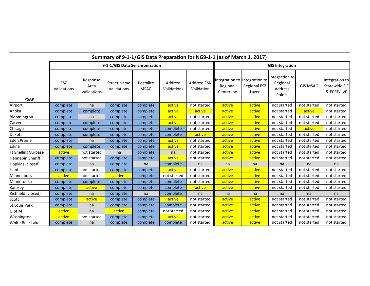| Summary of 9-1-1/GIS Data Preparation for NG9-1-1 (as of March 1, 2017) |                                |                                 |                                   |                          |                        |                                  |                        |                                                               |                                                 |                 |                                               |
|-------------------------------------------------------------------------|--------------------------------|---------------------------------|-----------------------------------|--------------------------|------------------------|----------------------------------|------------------------|---------------------------------------------------------------|-------------------------------------------------|-----------------|-----------------------------------------------|
|                                                                         | 9-1-1/GIS Data Synchronization |                                 |                                   |                          |                        | <b>GIS Integration</b>           |                        |                                                               |                                                 |                 |                                               |
| <b>PSAP</b>                                                             | ESZ<br>Validations             | Response<br>Area<br>Validations | <b>Street Name</b><br>Validations | Postalize<br><b>MSAG</b> | Address<br>Validations | <b>Address ESN</b><br>Validation | Regional<br>Centerline | Integration to Integration to<br><b>Regional ESZ</b><br>Layer | Integration to<br>Regional<br>Address<br>Points | <b>GIS MSAG</b> | Integration to<br>Statewide SIF<br>& ECRF/LVF |
| Airport                                                                 | complete                       | na                              | complete                          | complete                 | active                 | not started                      | active                 | active                                                        | not started                                     | not started     | not started                                   |
| Anoka                                                                   | complete                       | complete                        | complete                          | complete                 | active                 | active                           | active                 | active                                                        | not started                                     | active          | not started                                   |
| Bloomington                                                             | complete                       | na                              | complete                          | complete                 | active                 | not started                      | active                 | active                                                        | not started                                     | not started     | not started                                   |
| Carver                                                                  | complete                       | complete                        | complete                          | complete                 | active                 | not started                      | active                 | active                                                        | not started                                     | not started     | not started                                   |
| Chisago                                                                 | complete                       | complete                        | complete                          | complete                 | complete               | not started                      | active                 | active                                                        | not started                                     | active          | not started                                   |
| Dakota                                                                  | complete                       | complete                        | complete                          | complete                 | complete               | active                           | active                 | active                                                        | not started                                     | not started     | not started                                   |
| <b>Eden Prairie</b>                                                     | complete                       | na                              | complete                          | complete                 | active                 | not started                      | active                 | active                                                        | not started                                     | not started     | not started                                   |
| Edina                                                                   | complete                       | complete                        | complete                          | complete                 | active                 | not started                      | active                 | active                                                        | not started                                     | not started     | not started                                   |
| Ft Snelling/Airbase                                                     | active                         | not started                     | na                                | complete                 | na                     | not started                      | active                 | active                                                        | not started                                     | not started     | not started                                   |
| <b>Hennepin Sheriff</b>                                                 | complete                       | not started                     | complete                          | complete                 | active                 | not started                      | active                 | active                                                        | not started                                     | not started     | not started                                   |
| Hopkins (closed)                                                        | complete                       | na                              | complete                          | na                       | complete               | na                               | na                     | na                                                            | na                                              | na              | na                                            |
| Isanti                                                                  | complete                       | not started                     | complete                          | complete                 | active                 | not started                      | active                 | active                                                        | not started                                     | not started     | not started                                   |
| Minneapolis                                                             | active                         | not started                     | active                            | complete                 | not started            | not started                      | active                 | active                                                        | not started                                     | not started     | not started                                   |
| Minnetonka                                                              | complete                       | complete                        | complete                          | complete                 | complete               | not started                      | active                 | active                                                        | not started                                     | not started     | not started                                   |
| Ramsey                                                                  | complete                       | active                          | complete                          | complete                 | complete               | active                           | active                 | active                                                        | not started                                     | not started     | not started                                   |
| Richfield (closed)                                                      | complete                       | na                              | complete                          | na                       | complete               | na                               | na                     | na                                                            | na                                              | na              | na                                            |
| Scott                                                                   | complete                       | active                          | complete                          | complete                 | active                 | not started                      | active                 | active                                                        | not started                                     | not started     | not started                                   |
| <b>St Louis Park</b>                                                    | complete                       | na                              | complete                          | complete                 | complete               | not started                      | active                 | active                                                        | not started                                     | not started     | not started                                   |
| U of M                                                                  | active                         | na                              | active                            | complete                 | not started            | not started                      | active                 | active                                                        | not started                                     | not started     | not started                                   |
| Washington                                                              | active                         | not started                     | complete                          | complete                 | active                 | not started                      | active                 | active                                                        | not started                                     | not started     | not started                                   |
| White Bear Lake                                                         | complete                       | na                              | complete                          | complete                 | complete               | not started                      | active                 | active                                                        | not started                                     | not started     | not started                                   |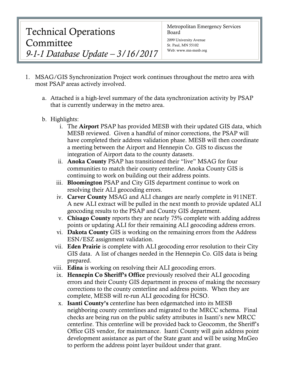# Technical Operations Committee *9-1-1 Database Update – 3/16/2017*

Metropolitan Emergency Services Board

2099 University Avenue St. Paul, MN 55102 Web: www.mn-mesb.org

- 1. MSAG/GIS Synchronization Project work continues throughout the metro area with most PSAP areas actively involved.
	- a. Attached is a high-level summary of the data synchronization activity by PSAP that is currently underway in the metro area.
	- b. Highlights:
		- i. The Airport PSAP has provided MESB with their updated GIS data, which MESB reviewed. Given a handful of minor corrections, the PSAP will have completed their address validation phase. MESB will then coordinate a meeting between the Airport and Hennepin Co. GIS to discuss the integration of Airport data to the county datasets.
		- ii. Anoka County PSAP has transitioned their "live" MSAG for four communities to match their county centerline. Anoka County GIS is continuing to work on building out their address points.
		- iii. Bloomington PSAP and City GIS department continue to work on resolving their ALI geocoding errors.
		- iv. Carver County MSAG and ALI changes are nearly complete in 911NET. A new ALI extract will be pulled in the next month to provide updated ALI geocoding results to the PSAP and County GIS department.
		- v. Chisago County reports they are nearly 75% complete with adding address points or updating ALI for their remaining ALI geocoding address errors.
		- vi. Dakota County GIS is working on the remaining errors from the Address ESN/ESZ assignment validation.
		- vii. Eden Prairie is complete with ALI geocoding error resolution to their City GIS data. A list of changes needed in the Hennepin Co. GIS data is being prepared.
		- viii. Edina is working on resolving their ALI geocoding errors.
			- ix. Hennepin Co Sheriff's Office previously resolved their ALI geocoding errors and their County GIS department in process of making the necessary corrections to the county centerline and address points. When they are complete, MESB will re-run ALI geocoding for HCSO.
			- x. Isanti County's centerline has been edgematched into its MESB neighboring county centerlines and migrated to the MRCC schema. Final checks are being run on the public safety attributes in Isanti's new MRCC centerline. This centerline will be provided back to Geocomm, the Sheriff's Office GIS vendor, for maintenance. Isanti County will gain address point development assistance as part of the State grant and will be using MnGeo to perform the address point layer buildout under that grant.